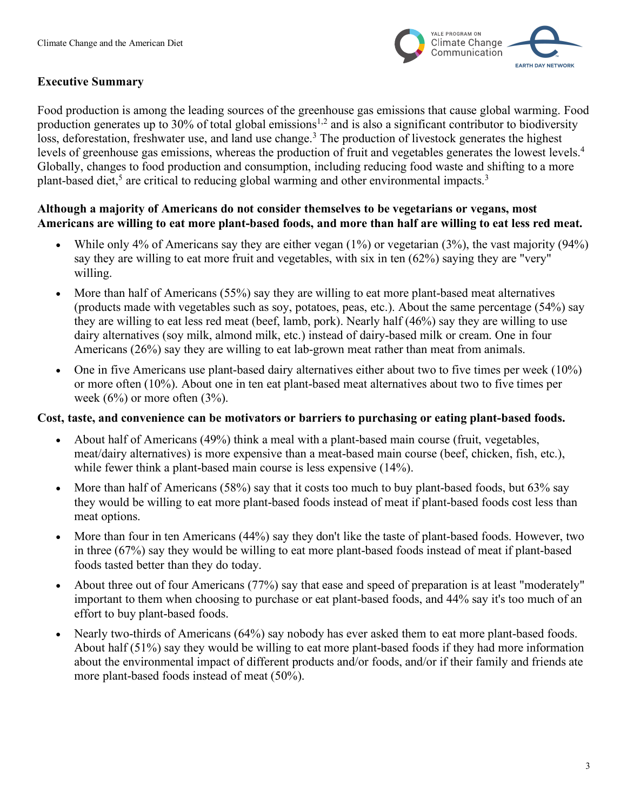

# **Executive Summary**

Food production is among the leading sources of the greenhouse gas emissions that cause global warming. Food production generates up to 30% of total global emissions<sup>1,2</sup> and is also a significant contributor to biodiversity loss, deforestation, freshwater use, and land use change.<sup>3</sup> The production of livestock generates the highest levels of greenhouse gas emissions, whereas the production of fruit and vegetables generates the lowest levels. 4 Globally, changes to food production and consumption, including reducing food waste and shifting to a more plant-based diet,<sup>5</sup> are critical to reducing global warming and other environmental impacts.<sup>3</sup>

### **Although a majority of Americans do not consider themselves to be vegetarians or vegans, most Americans are willing to eat more plant-based foods, and more than half are willing to eat less red meat.**

- While only 4% of Americans say they are either vegan (1%) or vegetarian (3%), the vast majority (94%) say they are willing to eat more fruit and vegetables, with six in ten (62%) saying they are "very" willing.
- More than half of Americans (55%) say they are willing to eat more plant-based meat alternatives (products made with vegetables such as soy, potatoes, peas, etc.). About the same percentage (54%) say they are willing to eat less red meat (beef, lamb, pork). Nearly half (46%) say they are willing to use dairy alternatives (soy milk, almond milk, etc.) instead of dairy-based milk or cream. One in four Americans (26%) say they are willing to eat lab-grown meat rather than meat from animals.
- One in five Americans use plant-based dairy alternatives either about two to five times per week (10%) or more often (10%). About one in ten eat plant-based meat alternatives about two to five times per week  $(6\%)$  or more often  $(3\%)$ .

#### **Cost, taste, and convenience can be motivators or barriers to purchasing or eating plant-based foods.**

- About half of Americans (49%) think a meal with a plant-based main course (fruit, vegetables, meat/dairy alternatives) is more expensive than a meat-based main course (beef, chicken, fish, etc.), while fewer think a plant-based main course is less expensive (14%).
- More than half of Americans (58%) say that it costs too much to buy plant-based foods, but 63% say they would be willing to eat more plant-based foods instead of meat if plant-based foods cost less than meat options.
- More than four in ten Americans (44%) say they don't like the taste of plant-based foods. However, two in three (67%) say they would be willing to eat more plant-based foods instead of meat if plant-based foods tasted better than they do today.
- About three out of four Americans (77%) say that ease and speed of preparation is at least "moderately" important to them when choosing to purchase or eat plant-based foods, and 44% say it's too much of an effort to buy plant-based foods.
- Nearly two-thirds of Americans (64%) say nobody has ever asked them to eat more plant-based foods. About half (51%) say they would be willing to eat more plant-based foods if they had more information about the environmental impact of different products and/or foods, and/or if their family and friends ate more plant-based foods instead of meat (50%).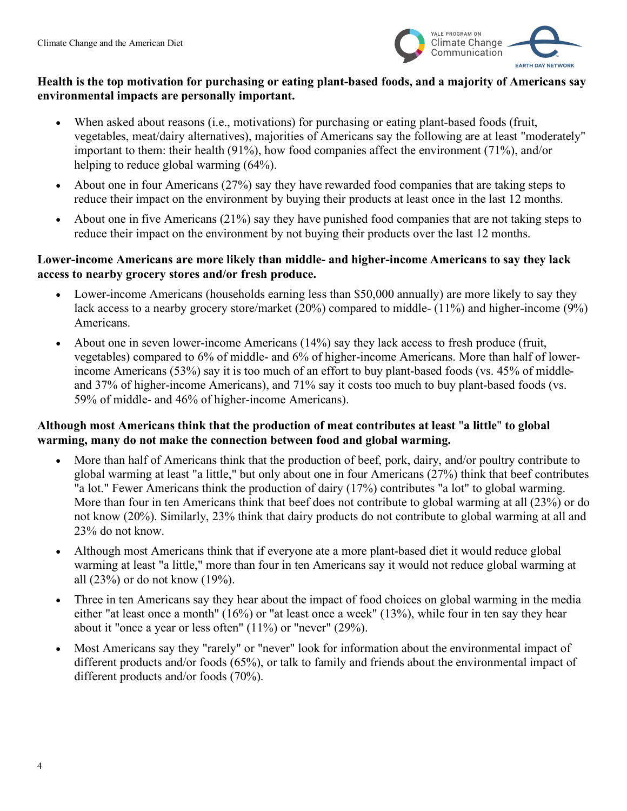

# **Health is the top motivation for purchasing or eating plant-based foods, and a majority of Americans say environmental impacts are personally important.**

- When asked about reasons (i.e., motivations) for purchasing or eating plant-based foods (fruit, vegetables, meat/dairy alternatives), majorities of Americans say the following are at least "moderately" important to them: their health (91%), how food companies affect the environment (71%), and/or helping to reduce global warming (64%).
- About one in four Americans (27%) say they have rewarded food companies that are taking steps to reduce their impact on the environment by buying their products at least once in the last 12 months.
- About one in five Americans (21%) say they have punished food companies that are not taking steps to reduce their impact on the environment by not buying their products over the last 12 months.

### **Lower-income Americans are more likely than middle- and higher-income Americans to say they lack access to nearby grocery stores and/or fresh produce.**

- Lower-income Americans (households earning less than \$50,000 annually) are more likely to say they lack access to a nearby grocery store/market (20%) compared to middle- (11%) and higher-income (9%) Americans.
- About one in seven lower-income Americans (14%) say they lack access to fresh produce (fruit, vegetables) compared to 6% of middle- and 6% of higher-income Americans. More than half of lowerincome Americans (53%) say it is too much of an effort to buy plant-based foods (vs. 45% of middleand 37% of higher-income Americans), and 71% say it costs too much to buy plant-based foods (vs. 59% of middle- and 46% of higher-income Americans).

# **Although most Americans think that the production of meat contributes at least** "**a little**" **to global warming, many do not make the connection between food and global warming.**

- More than half of Americans think that the production of beef, pork, dairy, and/or poultry contribute to global warming at least "a little," but only about one in four Americans (27%) think that beef contributes "a lot." Fewer Americans think the production of dairy (17%) contributes "a lot" to global warming. More than four in ten Americans think that beef does not contribute to global warming at all (23%) or do not know (20%). Similarly, 23% think that dairy products do not contribute to global warming at all and 23% do not know.
- Although most Americans think that if everyone ate a more plant-based diet it would reduce global warming at least "a little," more than four in ten Americans say it would not reduce global warming at all (23%) or do not know (19%).
- Three in ten Americans say they hear about the impact of food choices on global warming in the media either "at least once a month" (16%) or "at least once a week" (13%), while four in ten say they hear about it "once a year or less often" (11%) or "never" (29%).
- Most Americans say they "rarely" or "never" look for information about the environmental impact of different products and/or foods (65%), or talk to family and friends about the environmental impact of different products and/or foods (70%).